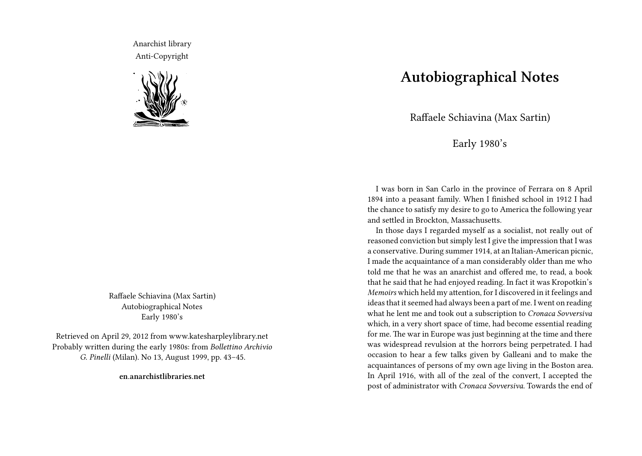Anarchist library Anti-Copyright



Raffaele Schiavina (Max Sartin) Autobiographical Notes Early 1980's

Retrieved on April 29, 2012 from www.katesharpleylibrary.net Probably written during the early 1980s: from *Bollettino Archivio G. Pinelli* (Milan). No 13, August 1999, pp. 43–45.

**en.anarchistlibraries.net**

## **Autobiographical Notes**

Raffaele Schiavina (Max Sartin)

Early 1980's

I was born in San Carlo in the province of Ferrara on 8 April 1894 into a peasant family. When I finished school in 1912 I had the chance to satisfy my desire to go to America the following year and settled in Brockton, Massachusetts.

In those days I regarded myself as a socialist, not really out of reasoned conviction but simply lest I give the impression that I was a conservative. During summer 1914, at an Italian-American picnic, I made the acquaintance of a man considerably older than me who told me that he was an anarchist and offered me, to read, a book that he said that he had enjoyed reading. In fact it was Kropotkin's *Memoirs* which held my attention, for I discovered in it feelings and ideas that it seemed had always been a part of me. I went on reading what he lent me and took out a subscription to *Cronaca Sovversiva* which, in a very short space of time, had become essential reading for me. The war in Europe was just beginning at the time and there was widespread revulsion at the horrors being perpetrated. I had occasion to hear a few talks given by Galleani and to make the acquaintances of persons of my own age living in the Boston area. In April 1916, with all of the zeal of the convert, I accepted the post of administrator with *Cronaca Sovversiva*. Towards the end of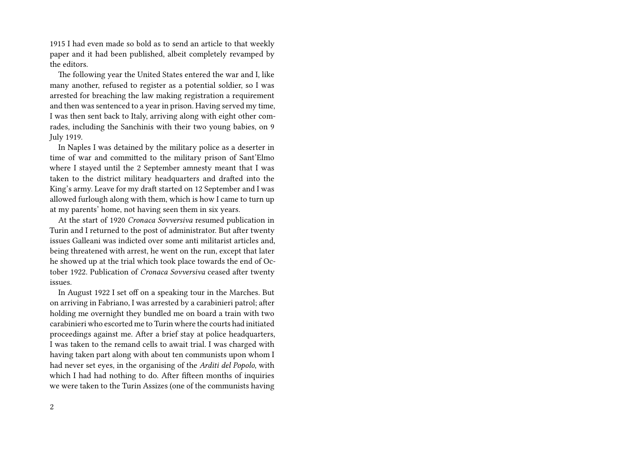1915 I had even made so bold as to send an article to that weekly paper and it had been published, albeit completely revamped by the editors.

The following year the United States entered the war and I, like many another, refused to register as a potential soldier, so I was arrested for breaching the law making registration a requirement and then was sentenced to a year in prison. Having served my time, I was then sent back to Italy, arriving along with eight other comrades, including the Sanchinis with their two young babies, on 9 July 1919.

In Naples I was detained by the military police as a deserter in time of war and committed to the military prison of Sant'Elmo where I stayed until the 2 September amnesty meant that I was taken to the district military headquarters and drafted into the King's army. Leave for my draft started on 12 September and I was allowed furlough along with them, which is how I came to turn up at my parents' home, not having seen them in six years.

At the start of 1920 *Cronaca Sovversiva* resumed publication in Turin and I returned to the post of administrator. But after twenty issues Galleani was indicted over some anti militarist articles and, being threatened with arrest, he went on the run, except that later he showed up at the trial which took place towards the end of October 1922. Publication of *Cronaca Sovversiva* ceased after twenty issues.

In August 1922 I set off on a speaking tour in the Marches. But on arriving in Fabriano, I was arrested by a carabinieri patrol; after holding me overnight they bundled me on board a train with two carabinieri who escorted me to Turin where the courts had initiated proceedings against me. After a brief stay at police headquarters, I was taken to the remand cells to await trial. I was charged with having taken part along with about ten communists upon whom I had never set eyes, in the organising of the *Arditi del Popolo*, with which I had had nothing to do. After fifteen months of inquiries we were taken to the Turin Assizes (one of the communists having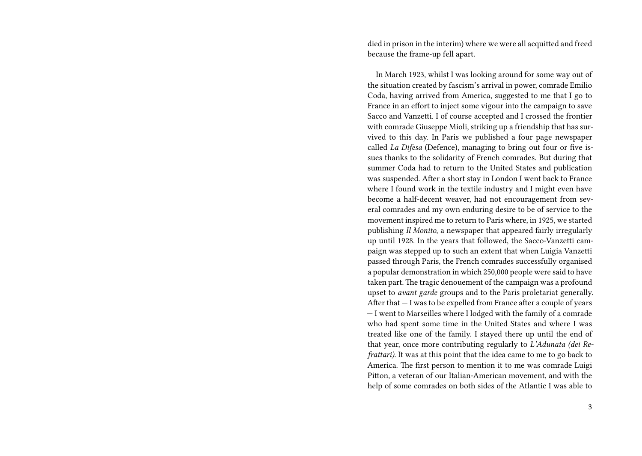died in prison in the interim) where we were all acquitted and freed because the frame-up fell apart.

In March 1923, whilst I was looking around for some way out of the situation created by fascism's arrival in power, comrade Emilio Coda, having arrived from America, suggested to me that I go to France in an effort to inject some vigour into the campaign to save Sacco and Vanzetti. I of course accepted and I crossed the frontier with comrade Giuseppe Mioli, striking up a friendship that has survived to this day. In Paris we published a four page newspaper called *La Difesa* (Defence), managing to bring out four or five issues thanks to the solidarity of French comrades. But during that summer Coda had to return to the United States and publication was suspended. After a short stay in London I went back to France where I found work in the textile industry and I might even have become a half-decent weaver, had not encouragement from several comrades and my own enduring desire to be of service to the movement inspired me to return to Paris where, in 1925, we started publishing *Il Monito*, a newspaper that appeared fairly irregularly up until 1928. In the years that followed, the Sacco-Vanzetti campaign was stepped up to such an extent that when Luigia Vanzetti passed through Paris, the French comrades successfully organised a popular demonstration in which 250,000 people were said to have taken part. The tragic denouement of the campaign was a profound upset to *avant garde* groups and to the Paris proletariat generally. After that — I was to be expelled from France after a couple of years — I went to Marseilles where I lodged with the family of a comrade who had spent some time in the United States and where I was treated like one of the family. I stayed there up until the end of that year, once more contributing regularly to *L'Adunata (dei Refrattari)*. It was at this point that the idea came to me to go back to America. The first person to mention it to me was comrade Luigi Pitton, a veteran of our Italian-American movement, and with the help of some comrades on both sides of the Atlantic I was able to